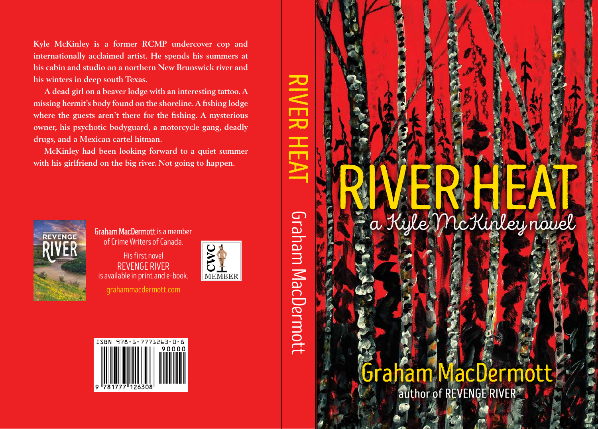**Kyle McKinley is a former RCMP undercover cop and internationally acclaimed artist. He spends his summers at his cabin and studio on a northern New Brunswick river and his winters in deep south Texas.**

**A dead girl on a beaver lodge with an interesting tattoo. A missing hermit's body found on the shoreline. A fishing lodge where the guests aren't there for the fishing. A mysterious owner, his psychotic bodyguard, a motorcycle gang, deadly drugs, and a Mexican cartel hitman.**

**McKinley had been looking forward to a quiet summer with his girlfriend on the big river. Not going to happen.**



Graham MacDermott is a member of Crime Writers of Canada.

His first novel REVENGE RIVER is available in print and e-book.



grahammacdermott.com





# Graham MacDermott

author of REVENGE RIVER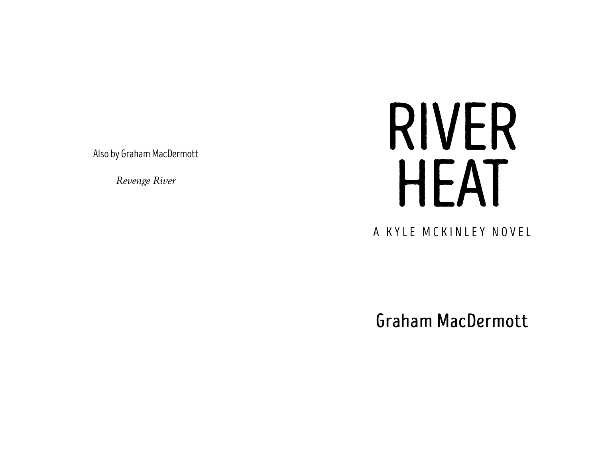Also by Graham MacDermott

*Revenge River*

# RIVER HEAT

A KYLE MCKINLEY NOVEL

Graham MacDermott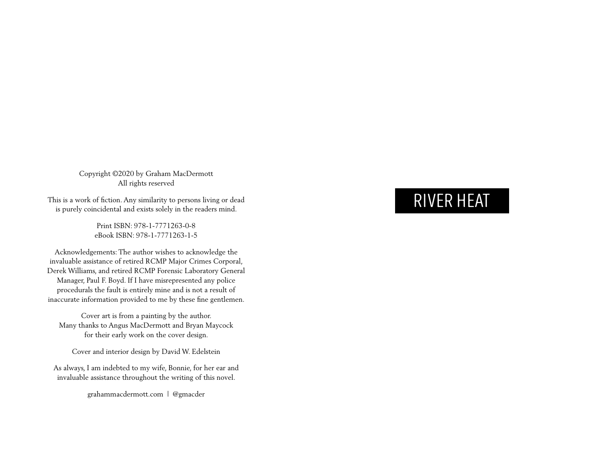Copyright ©2020 by Graham MacDermott All rights reserved

This is a work of fiction. Any similarity to persons living or dead is purely coincidental and exists solely in the readers mind.

> Print ISBN: 978-1-7771263-0-8 eBook ISBN: 978-1-7771263-1-5

Acknowledgements: The author wishes to acknowledge the invaluable assistance of retired RCMP Major Crimes Corporal, Derek Williams, and retired RCMP Forensic Laboratory General Manager, Paul F. Boyd. If I have misrepresented any police procedurals the fault is entirely mine and is not a result of inaccurate information provided to me by these fine gentlemen.

Cover art is from a painting by the author. Many thanks to Angus MacDermott and Bryan Maycock for their early work on the cover design.

Cover and interior design by David W. Edelstein

As always, I am indebted to my wife, Bonnie, for her ear and invaluable assistance throughout the writing of this novel.

grahammacdermott.com | @gmacder

# RIVER HEAT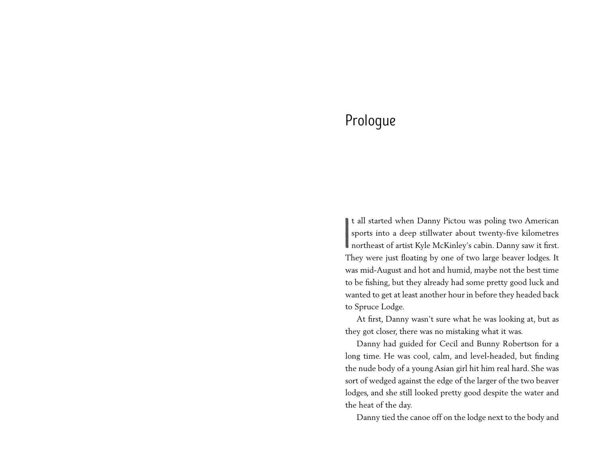# Prologue

**I** t all started when Danny Pictou was poling two American sports into a deep stillwater about twenty-five kilometres northeast of artist Kyle McKinley's cabin. Danny saw it first. They were just floating by one of two large beaver lodges. It was mid-August and hot and humid, maybe not the best time to be fishing, but they already had some pretty good luck and wanted to get at least another hour in before they headed back to Spruce Lodge.

At first, Danny wasn't sure what he was looking at, but as they got closer, there was no mistaking what it was.

Danny had guided for Cecil and Bunny Robertson for a long time. He was cool, calm, and level-headed, but finding the nude body of a young Asian girl hit him real hard. She was sort of wedged against the edge of the larger of the two beaver lodges, and she still looked pretty good despite the water and the heat of the day.

Danny tied the canoe off on the lodge next to the body and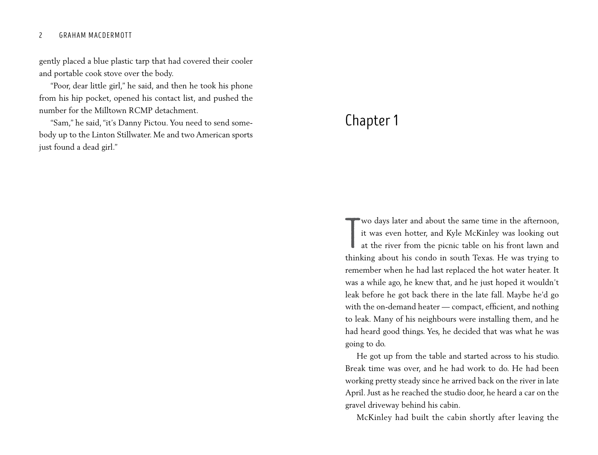#### 2 GRAHAM MACDERMOTT

gently placed a blue plastic tarp that had covered their cooler and portable cook stove over the body.

"Poor, dear little girl," he said, and then he took his phone from his hip pocket, opened his contact list, and pushed the number for the Milltown RCMP detachment.

"Sam," he said, "it's Danny Pictou. You need to send somebody up to the Linton Stillwater. Me and two American sports just found a dead girl."

## Chapter 1

Wo days later and about the same time in the afternoon, it was even hotter, and Kyle McKinley was looking out at the river from the picnic table on his front lawn and thinking about his condo in south Texas. He was trying wo days later and about the same time in the afternoon, it was even hotter, and Kyle McKinley was looking out at the river from the picnic table on his front lawn and remember when he had last replaced the hot water heater. It was a while ago, he knew that, and he just hoped it wouldn't leak before he got back there in the late fall. Maybe he'd go with the on-demand heater — compact, efficient, and nothing to leak. Many of his neighbours were installing them, and he had heard good things. Yes, he decided that was what he was going to do.

He got up from the table and started across to his studio. Break time was over, and he had work to do. He had been working pretty steady since he arrived back on the river in late April. Just as he reached the studio door, he heard a car on the gravel driveway behind his cabin.

McKinley had built the cabin shortly after leaving the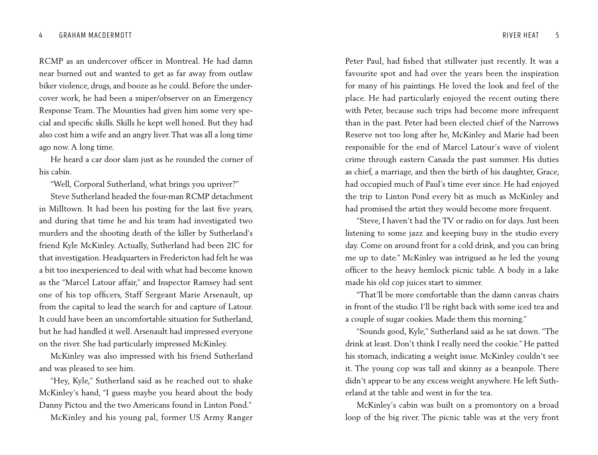RCMP as an undercover officer in Montreal. He had damn near burned out and wanted to get as far away from outlaw biker violence, drugs, and booze as he could. Before the undercover work, he had been a sniper/observer on an Emergency Response Team. The Mounties had given him some very special and specific skills. Skills he kept well honed. But they had also cost him a wife and an angry liver. That was all a long time ago now. A long time.

He heard a car door slam just as he rounded the corner of his cabin.

"Well, Corporal Sutherland, what brings you upriver?"

Steve Sutherland headed the four-man RCMP detachment in Milltown. It had been his posting for the last five years, and during that time he and his team had investigated two murders and the shooting death of the killer by Sutherland's friend Kyle McKinley. Actually, Sutherland had been 2IC for that investigation. Headquarters in Fredericton had felt he was a bit too inexperienced to deal with what had become known as the "Marcel Latour affair," and Inspector Ramsey had sent one of his top officers, Staff Sergeant Marie Arsenault, up from the capital to lead the search for and capture of Latour. It could have been an uncomfortable situation for Sutherland, but he had handled it well. Arsenault had impressed everyone on the river. She had particularly impressed McKinley.

McKinley was also impressed with his friend Sutherland and was pleased to see him.

"Hey, Kyle," Sutherland said as he reached out to shake McKinley's hand, "I guess maybe you heard about the body Danny Pictou and the two Americans found in Linton Pond."

McKinley and his young pal, former US Army Ranger

Peter Paul, had fished that stillwater just recently. It was a favourite spot and had over the years been the inspiration for many of his paintings. He loved the look and feel of the place. He had particularly enjoyed the recent outing there with Peter, because such trips had become more infrequent than in the past. Peter had been elected chief of the Narrows Reserve not too long after he, McKinley and Marie had been responsible for the end of Marcel Latour's wave of violent crime through eastern Canada the past summer. His duties as chief, a marriage, and then the birth of his daughter, Grace, had occupied much of Paul's time ever since. He had enjoyed the trip to Linton Pond every bit as much as McKinley and had promised the artist they would become more frequent.

"Steve, I haven't had the TV or radio on for days. Just been listening to some jazz and keeping busy in the studio every day. Come on around front for a cold drink, and you can bring me up to date." McKinley was intrigued as he led the young officer to the heavy hemlock picnic table. A body in a lake made his old cop juices start to simmer.

"That'll be more comfortable than the damn canvas chairs in front of the studio. I'll be right back with some iced tea and a couple of sugar cookies. Made them this morning."

"Sounds good, Kyle," Sutherland said as he sat down. "The drink at least. Don't think I really need the cookie." He patted his stomach, indicating a weight issue. McKinley couldn't see it. The young cop was tall and skinny as a beanpole. There didn't appear to be any excess weight anywhere. He left Sutherland at the table and went in for the tea.

McKinley's cabin was built on a promontory on a broad loop of the big river. The picnic table was at the very front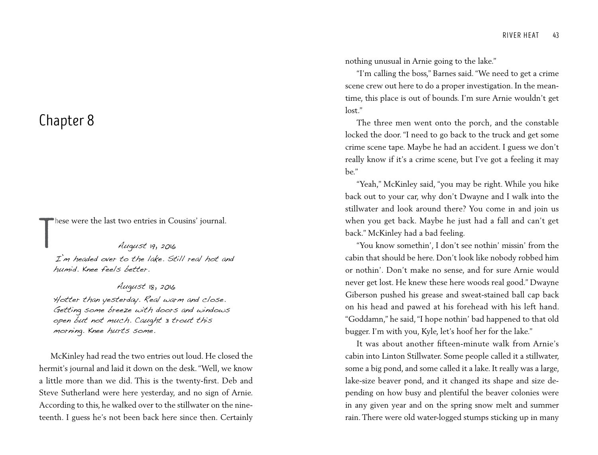### Chapter 8

hese were the last two entries in Cousins' journal.

T August 19, 2016 I'm headed over to the lake. Still real hot and humid. Knee feels better.

August 18, 2016 Hotter than yesterday. Real warm and close. Getting some breeze with doors and windows open but not much. Caught 3 trout this morning. Knee hurts some.

McKinley had read the two entries out loud. He closed the hermit's journal and laid it down on the desk. "Well, we know a little more than we did. This is the twenty-first. Deb and Steve Sutherland were here yesterday, and no sign of Arnie. According to this, he walked over to the stillwater on the nineteenth. I guess he's not been back here since then. Certainly nothing unusual in Arnie going to the lake."

"I'm calling the boss," Barnes said. "We need to get a crime scene crew out here to do a proper investigation. In the meantime, this place is out of bounds. I'm sure Arnie wouldn't get lost."

The three men went onto the porch, and the constable locked the door. "I need to go back to the truck and get some crime scene tape. Maybe he had an accident. I guess we don't really know if it's a crime scene, but I've got a feeling it may be."

"Yeah," McKinley said, "you may be right. While you hike back out to your car, why don't Dwayne and I walk into the stillwater and look around there? You come in and join us when you get back. Maybe he just had a fall and can't get back." McKinley had a bad feeling.

"You know somethin', I don't see nothin' missin' from the cabin that should be here. Don't look like nobody robbed him or nothin'. Don't make no sense, and for sure Arnie would never get lost. He knew these here woods real good." Dwayne Giberson pushed his grease and sweat-stained ball cap back on his head and pawed at his forehead with his left hand. "Goddamn," he said, "I hope nothin' bad happened to that old bugger. I'm with you, Kyle, let's hoof her for the lake."

It was about another fifteen-minute walk from Arnie's cabin into Linton Stillwater. Some people called it a stillwater, some a big pond, and some called it a lake. It really was a large, lake-size beaver pond, and it changed its shape and size depending on how busy and plentiful the beaver colonies were in any given year and on the spring snow melt and summer rain. There were old water-logged stumps sticking up in many